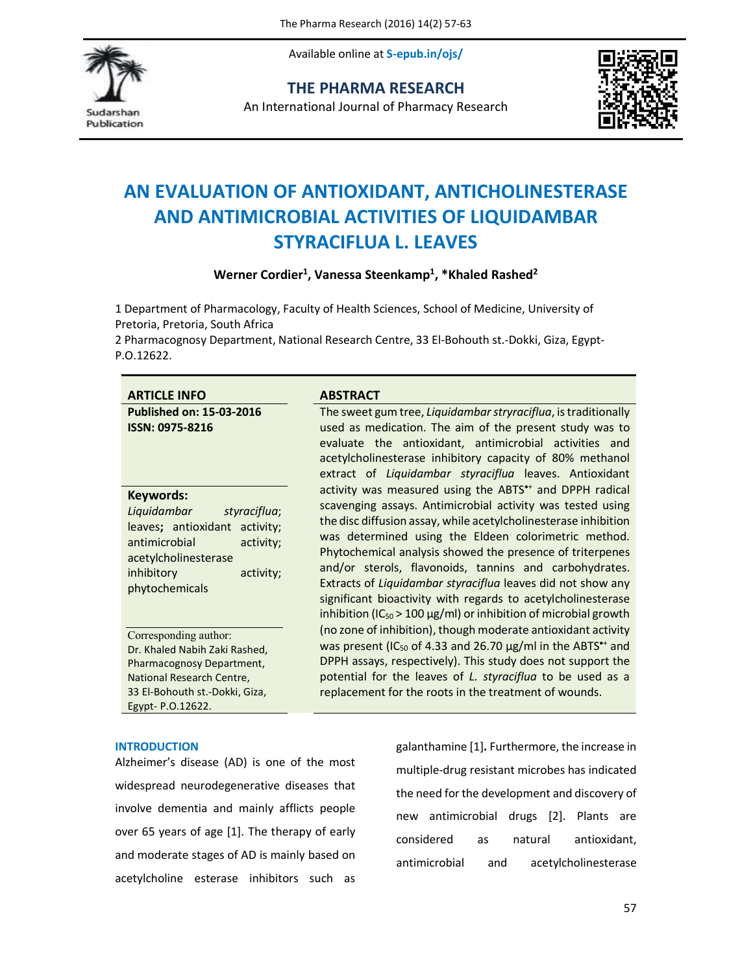Available online at **S-epub.in/ojs/**



**THE PHARMA RESEARCH**

An International Journal of Pharmacy Research



# **AN EVALUATION OF ANTIOXIDANT, ANTICHOLINESTERASE AND ANTIMICROBIAL ACTIVITIES OF LIQUIDAMBAR STYRACIFLUA L. LEAVES**

Werner Cordier<sup>1</sup>, Vanessa Steenkamp<sup>1</sup>, \*Khaled Rashed<sup>2</sup>

1 Department of Pharmacology, Faculty of Health Sciences, School of Medicine, University of Pretoria, Pretoria, South Africa

2 Pharmacognosy Department, National Research Centre, 33 El-Bohouth st.-Dokki, Giza, Egypt-P.O.12622.

| <b>ARTICLE INFO</b>                                                                                                                                                          | <b>ABSTRACT</b>                                                                                                                                                                                                                                                                                                                                                                                                                                                                                                                                                                            |  |
|------------------------------------------------------------------------------------------------------------------------------------------------------------------------------|--------------------------------------------------------------------------------------------------------------------------------------------------------------------------------------------------------------------------------------------------------------------------------------------------------------------------------------------------------------------------------------------------------------------------------------------------------------------------------------------------------------------------------------------------------------------------------------------|--|
| <b>Published on: 15-03-2016</b><br><b>ISSN: 0975-8216</b>                                                                                                                    | The sweet gum tree, Liquidambar stryraciflua, is traditionally<br>used as medication. The aim of the present study was to<br>evaluate the antioxidant, antimicrobial activities and<br>acetylcholinesterase inhibitory capacity of 80% methanol<br>extract of Liquidambar styraciflua leaves. Antioxidant                                                                                                                                                                                                                                                                                  |  |
| Keywords:<br>Liquidambar<br>styraciflua;<br>leaves; antioxidant activity;<br>antimicrobial<br>activity;<br>acetylcholinesterase<br>inhibitory<br>activity;<br>phytochemicals | activity was measured using the ABTS*+ and DPPH radical<br>scavenging assays. Antimicrobial activity was tested using<br>the disc diffusion assay, while acetylcholinesterase inhibition<br>was determined using the Eldeen colorimetric method.<br>Phytochemical analysis showed the presence of triterpenes<br>and/or sterols, flavonoids, tannins and carbohydrates.<br>Extracts of Liquidambar styraciflua leaves did not show any<br>significant bioactivity with regards to acetylcholinesterase<br>inhibition (IC <sub>50</sub> > 100 $\mu$ g/ml) or inhibition of microbial growth |  |
| Corresponding author:<br>Dr. Khaled Nabih Zaki Rashed,<br>Pharmacognosy Department,<br>National Research Centre,<br>33 El-Bohouth st.-Dokki, Giza,<br>Egypt- P.O.12622.      | (no zone of inhibition), though moderate antioxidant activity<br>was present (IC <sub>50</sub> of 4.33 and 26.70 $\mu$ g/ml in the ABTS <sup>*+</sup> and<br>DPPH assays, respectively). This study does not support the<br>potential for the leaves of L. styraciflua to be used as a<br>replacement for the roots in the treatment of wounds.                                                                                                                                                                                                                                            |  |

# **INTRODUCTION**

Alzheimer's disease (AD) is one of the most widespread neurodegenerative diseases that involve dementia and mainly afflicts people over 65 years of age [1]. The therapy of early and moderate stages of AD is mainly based on acetylcholine esterase inhibitors such as galanthamine [1]**.** Furthermore, the increase in multiple-drug resistant microbes has indicated the need for the development and discovery of new antimicrobial drugs [2]. Plants are considered as natural antioxidant, antimicrobial and acetylcholinesterase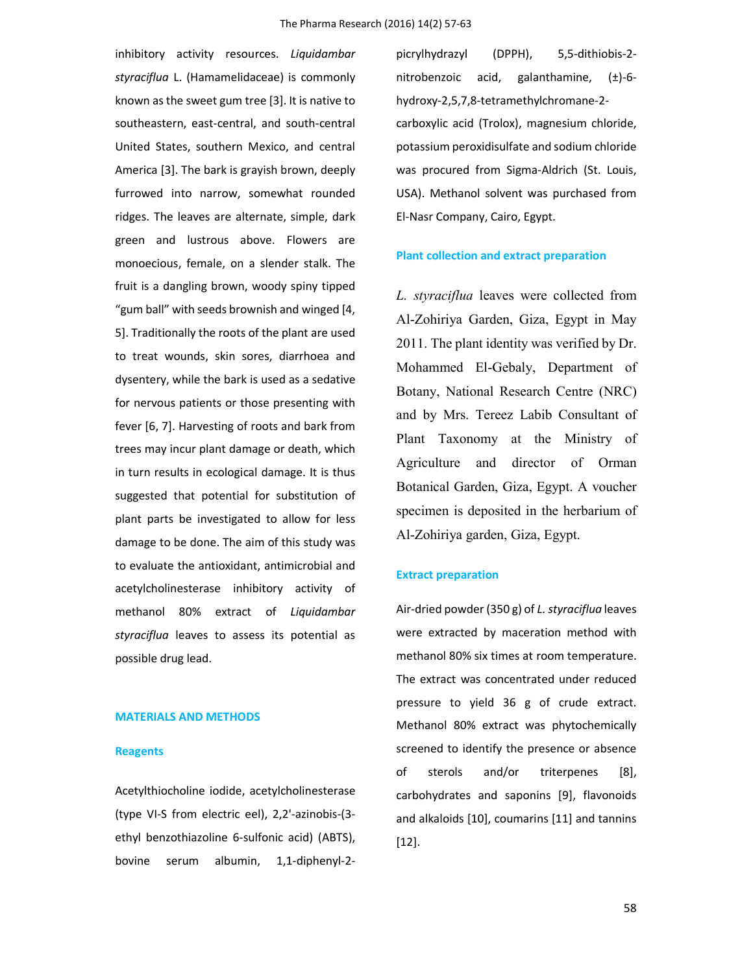inhibitory activity resources. *Liquidambar styraciflua* L. (Hamamelidaceae) is commonly known as the sweet gum tree [3]. It is native to southeastern, east-central, and south-central United States, southern Mexico, and central America [3]. The bark is grayish brown, deeply furrowed into narrow, somewhat rounded ridges. The leaves are alternate, simple, dark green and lustrous above. Flowers are monoecious, female, on a slender stalk. The fruit is a dangling brown, woody spiny tipped "gum ball" with seeds brownish and winged [4, 5]. Traditionally the roots of the plant are used to treat wounds, skin sores, diarrhoea and dysentery, while the bark is used as a sedative for nervous patients or those presenting with fever [6, 7]. Harvesting of roots and bark from trees may incur plant damage or death, which in turn results in ecological damage. It is thus suggested that potential for substitution of plant parts be investigated to allow for less damage to be done. The aim of this study was to evaluate the antioxidant, antimicrobial and acetylcholinesterase inhibitory activity of methanol 80% extract of *Liquidambar styraciflua* leaves to assess its potential as possible drug lead.

### **MATERIALS AND METHODS**

### **Reagents**

Acetylthiocholine iodide, acetylcholinesterase (type VI-S from electric eel), 2,2'-azinobis-(3 ethyl benzothiazoline 6-sulfonic acid) (ABTS), bovine serum albumin, 1,1-diphenyl-2picrylhydrazyl (DPPH), 5,5-dithiobis-2 nitrobenzoic acid, galanthamine,  $(\pm)$ -6hydroxy-2,5,7,8-tetramethylchromane-2 carboxylic acid (Trolox), magnesium chloride, potassium peroxidisulfate and sodium chloride was procured from Sigma-Aldrich (St. Louis, USA). Methanol solvent was purchased from El-Nasr Company, Cairo, Egypt.

### **Plant collection and extract preparation**

*L. styraciflua* leaves were collected from Al-Zohiriya Garden, Giza, Egypt in May 2011. The plant identity was verified by Dr. Mohammed El-Gebaly, Department of Botany, National Research Centre (NRC) and by Mrs. Tereez Labib Consultant of Plant Taxonomy at the Ministry of Agriculture and director of Orman Botanical Garden, Giza, Egypt. A voucher specimen is deposited in the herbarium of Al-Zohiriya garden, Giza, Egypt.

# **Extract preparation**

Air-dried powder (350 g) of *L. styraciflua* leaves were extracted by maceration method with methanol 80% six times at room temperature. The extract was concentrated under reduced pressure to yield 36 g of crude extract. Methanol 80% extract was phytochemically screened to identify the presence or absence of sterols and/or triterpenes [8], carbohydrates and saponins [9], flavonoids and alkaloids [10], coumarins [11] and tannins [12].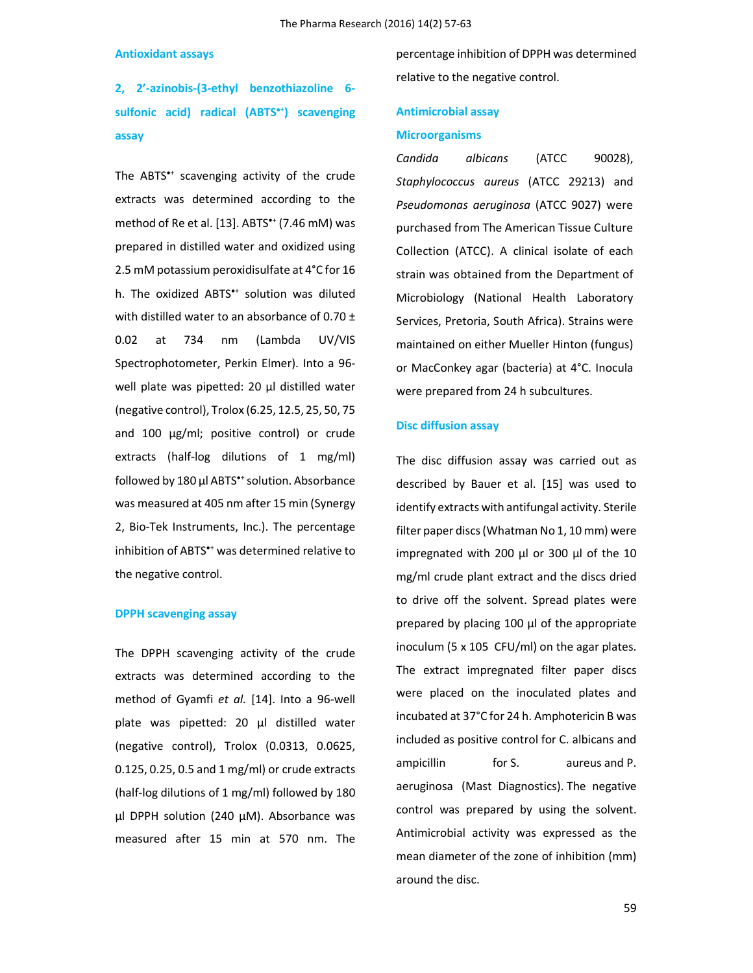### **Antioxidant assays**

**2, 2'-azinobis-(3-ethyl benzothiazoline 6 sulfonic acid) radical (ABTS<sup>+</sup> ) scavenging assay**

The ABTS\*+ scavenging activity of the crude extracts was determined according to the method of Re et al. [13]. ABTS\*+ (7.46 mM) was prepared in distilled water and oxidized using 2.5 mM potassium peroxidisulfate at 4°C for 16 h. The oxidized ABTS<sup>\*+</sup> solution was diluted with distilled water to an absorbance of 0.70  $\pm$ 0.02 at 734 nm (Lambda UV/VIS Spectrophotometer, Perkin Elmer). Into a 96 well plate was pipetted: 20 μl distilled water (negative control), Trolox (6.25, 12.5, 25, 50, 75 and 100 µg/ml; positive control) or crude extracts (half-log dilutions of 1 mg/ml) followed by 180 μl ABTS<sup>\*+</sup> solution. Absorbance was measured at 405 nm after 15 min (Synergy 2, Bio-Tek Instruments, Inc.). The percentage inhibition of ABTS<sup>\*+</sup> was determined relative to the negative control.

### **DPPH scavenging assay**

The DPPH scavenging activity of the crude extracts was determined according to the method of Gyamfi *et al.* [14]. Into a 96-well plate was pipetted: 20 μl distilled water (negative control), Trolox (0.0313, 0.0625, 0.125, 0.25, 0.5 and 1 mg/ml) or crude extracts (half-log dilutions of 1 mg/ml) followed by 180 μl DPPH solution (240 μM). Absorbance was measured after 15 min at 570 nm. The percentage inhibition of DPPH was determined relative to the negative control.

# **Antimicrobial assay Microorganisms**

*Candida albicans* (ATCC 90028), *Staphylococcus aureus* (ATCC 29213) and *Pseudomonas aeruginosa* (ATCC 9027) were purchased from The American Tissue Culture Collection (ATCC). A clinical isolate of each strain was obtained from the Department of Microbiology (National Health Laboratory Services, Pretoria, South Africa). Strains were maintained on either Mueller Hinton (fungus) or MacConkey agar (bacteria) at 4°C. Inocula were prepared from 24 h subcultures.

### **Disc diffusion assay**

The disc diffusion assay was carried out as described by Bauer et al. [15] was used to identify extracts with antifungal activity. Sterile filter paper discs (Whatman No 1, 10 mm) were impregnated with 200 μl or 300 μl of the 10 mg/ml crude plant extract and the discs dried to drive off the solvent. Spread plates were prepared by placing 100 μl of the appropriate inoculum (5 x 105 CFU/ml) on the agar plates. The extract impregnated filter paper discs were placed on the inoculated plates and incubated at 37°C for 24 h. Amphotericin B was included as positive control for C. albicans and ampicillin for S. aureus and P. aeruginosa (Mast Diagnostics). The negative control was prepared by using the solvent. Antimicrobial activity was expressed as the mean diameter of the zone of inhibition (mm) around the disc.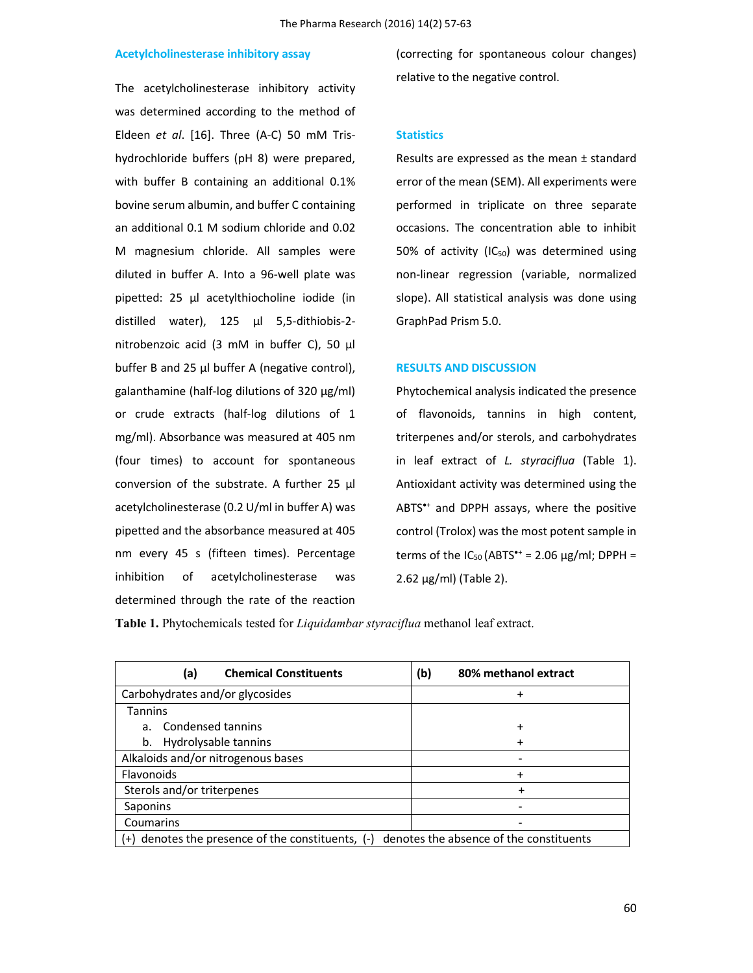# **Acetylcholinesterase inhibitory assay**

The acetylcholinesterase inhibitory activity was determined according to the method of Eldeen *et al*. [16]. Three (A-C) 50 mM Trishydrochloride buffers (pH 8) were prepared, with buffer B containing an additional 0.1% bovine serum albumin, and buffer C containing an additional 0.1 M sodium chloride and 0.02 M magnesium chloride. All samples were diluted in buffer A. Into a 96-well plate was pipetted: 25 µl acetylthiocholine iodide (in distilled water), 125 µl 5,5-dithiobis-2 nitrobenzoic acid (3 mM in buffer C), 50 µl buffer B and 25 µl buffer A (negative control), galanthamine (half-log dilutions of 320 µg/ml) or crude extracts (half-log dilutions of 1 mg/ml). Absorbance was measured at 405 nm (four times) to account for spontaneous conversion of the substrate. A further 25 µl acetylcholinesterase (0.2 U/ml in buffer A) was pipetted and the absorbance measured at 405 nm every 45 s (fifteen times). Percentage inhibition of acetylcholinesterase was determined through the rate of the reaction

(correcting for spontaneous colour changes) relative to the negative control.

### **Statistics**

Results are expressed as the mean ± standard error of the mean (SEM). All experiments were performed in triplicate on three separate occasions. The concentration able to inhibit 50% of activity (IC $_{50}$ ) was determined using non-linear regression (variable, normalized slope). All statistical analysis was done using GraphPad Prism 5.0.

### **RESULTS AND DISCUSSION**

Phytochemical analysis indicated the presence of flavonoids, tannins in high content, triterpenes and/or sterols, and carbohydrates in leaf extract of *L. styraciflua* (Table 1). Antioxidant activity was determined using the ABTS<sup>\*+</sup> and DPPH assays, where the positive control (Trolox) was the most potent sample in terms of the  $IC_{50}$  (ABTS<sup>\*+</sup> = 2.06  $\mu$ g/ml; DPPH = 2.62  $\mu$ g/ml) (Table 2).

**Table 1.** Phytochemicals tested for *Liquidambar styraciflua* methanol leaf extract.

| <b>Chemical Constituents</b><br>(a)                                                              | (b)<br>80% methanol extract |  |  |
|--------------------------------------------------------------------------------------------------|-----------------------------|--|--|
| Carbohydrates and/or glycosides                                                                  | $\ddot{}$                   |  |  |
| <b>Tannins</b>                                                                                   |                             |  |  |
| a. Condensed tannins                                                                             | $\ddot{}$                   |  |  |
| b. Hydrolysable tannins                                                                          | $\ddot{}$                   |  |  |
| Alkaloids and/or nitrogenous bases                                                               |                             |  |  |
| <b>Flavonoids</b>                                                                                | +                           |  |  |
| Sterols and/or triterpenes                                                                       | +                           |  |  |
| Saponins                                                                                         |                             |  |  |
| Coumarins                                                                                        |                             |  |  |
| $(+)$ denotes the presence of the constituents, $(-)$<br>denotes the absence of the constituents |                             |  |  |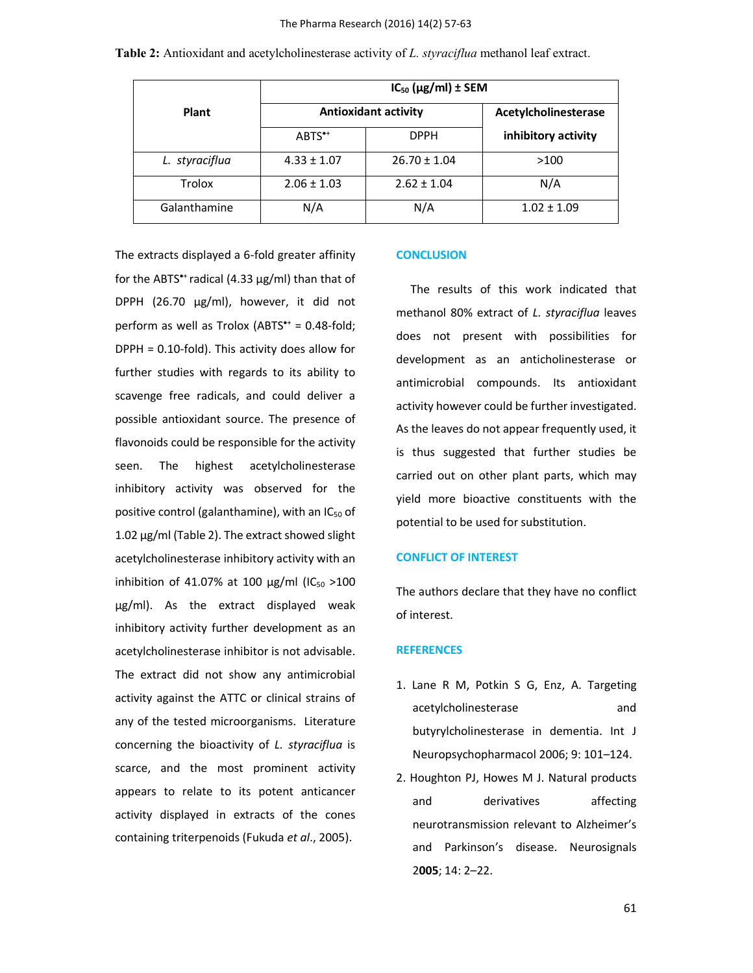|       | $IC_{50}$ ( $\mu$ g/ml) ± SEM |             |                      |
|-------|-------------------------------|-------------|----------------------|
| Plant | <b>Antioxidant activity</b>   |             | Acetylcholinesterase |
|       | $ABTS^{\bullet+}$             | <b>DPPH</b> | inhibitory activity  |

*L. styraciflua* 4.33 ± 1.07 26.70 ± 1.04 >100

Trolox |  $2.06 \pm 1.03$  |  $2.62 \pm 1.04$  | N/A Galanthamine  $N/A$   $N/A$  1.02  $\pm$  1.09

**Table 2:** Antioxidant and acetylcholinesterase activity of *L. styraciflua* methanol leaf extract.

for the ABTS<sup>\*+</sup> radical (4.33  $\mu$ g/ml) than that of DPPH (26.70 µg/ml), however, it did not perform as well as Trolox (ABTS $* = 0.48$ -fold; DPPH = 0.10-fold). This activity does allow for further studies with regards to its ability to scavenge free radicals, and could deliver a possible antioxidant source. The presence of flavonoids could be responsible for the activity seen. The highest acetylcholinesterase inhibitory activity was observed for the positive control (galanthamine), with an  $IC_{50}$  of 1.02  $\mu$ g/ml (Table 2). The extract showed slight acetylcholinesterase inhibitory activity with an inhibition of 41.07% at 100  $\mu$ g/ml (IC<sub>50</sub> >100 µg/ml). As the extract displayed weak inhibitory activity further development as an acetylcholinesterase inhibitor is not advisable. The extract did not show any antimicrobial activity against the ATTC or clinical strains of any of the tested microorganisms. Literature concerning the bioactivity of *L. styraciflua* is scarce, and the most prominent activity appears to relate to its potent anticancer activity displayed in extracts of the cones containing triterpenoids (Fukuda *et al*., 2005).

The extracts displayed a 6-fold greater affinity

#### **CONCLUSION**

 The results of this work indicated that methanol 80% extract of *L. styraciflua* leaves does not present with possibilities for development as an anticholinesterase or antimicrobial compounds. Its antioxidant activity however could be further investigated. As the leaves do not appear frequently used, it is thus suggested that further studies be carried out on other plant parts, which may yield more bioactive constituents with the potential to be used for substitution.

# **CONFLICT OF INTEREST**

The authors declare that they have no conflict of interest.

# **REFERENCES**

- 1. Lane R M, Potkin S G, Enz, A. Targeting acetylcholinesterase and butyrylcholinesterase in dementia. Int J Neuropsychopharmacol 2006; 9: 101–124.
- 2. Houghton PJ, Howes M J. Natural products and derivatives affecting neurotransmission relevant to Alzheimer's and Parkinson's disease. Neurosignals 2**005**; 14: 2–22.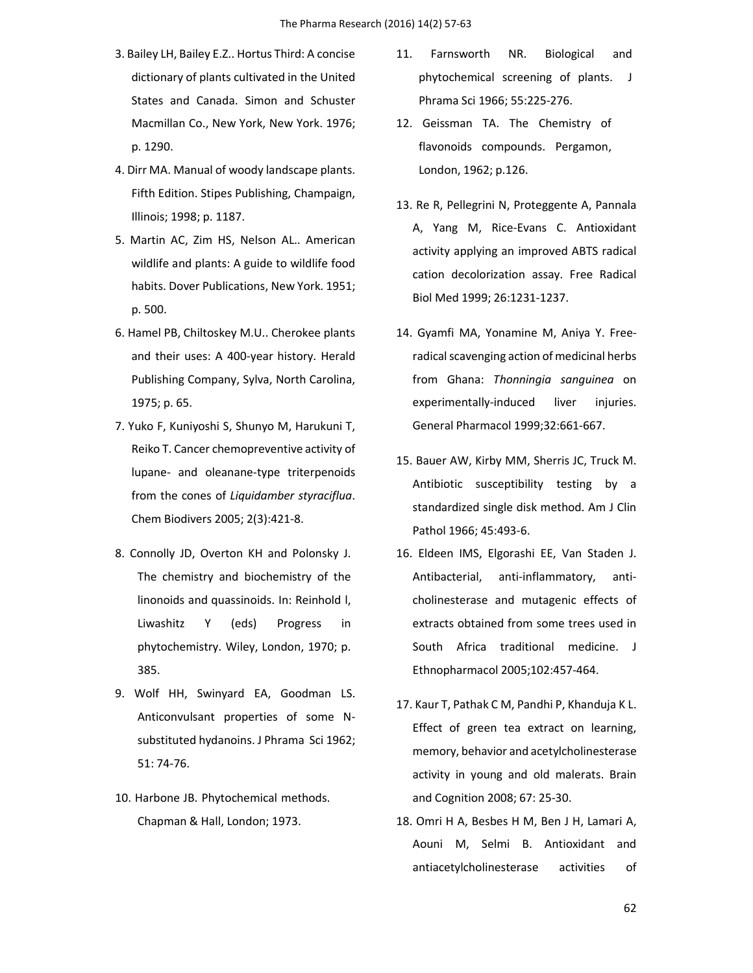- 3. Bailey LH, Bailey E.Z.. Hortus Third: A concise dictionary of plants cultivated in the United States and Canada. Simon and Schuster Macmillan Co., New York, New York. 1976; p. 1290.
- 4. Dirr MA. Manual of woody landscape plants. Fifth Edition. Stipes Publishing, Champaign, Illinois; 1998; p. 1187.
- 5. Martin AC, Zim HS, Nelson AL.. American wildlife and plants: A guide to wildlife food habits. Dover Publications, New York. 1951; p. 500.
- 6. Hamel PB, Chiltoskey M.U.. Cherokee plants and their uses: A 400-year history. Herald Publishing Company, Sylva, North Carolina, 1975; p. 65.
- 7. Yuko F, Kuniyoshi S, Shunyo M, Harukuni T, Reiko T. Cancer chemopreventive activity of lupane- and oleanane-type triterpenoids from the cones of *Liquidamber styraciflua*. Chem Biodivers 2005; 2(3):421-8.
- 8. Connolly JD, Overton KH and Polonsky J. The chemistry and biochemistry of the linonoids and quassinoids. In: Reinhold l, Liwashitz Y (eds) Progress in phytochemistry. Wiley, London, 1970; p. 385.
- 9. Wolf HH, Swinyard EA, Goodman LS. Anticonvulsant properties of some Nsubstituted hydanoins. J Phrama Sci 1962; 51: 74-76.
- 10. Harbone JB. Phytochemical methods. Chapman & Hall, London; 1973.
- 11. Farnsworth NR. Biological and phytochemical screening of plants. J Phrama Sci 1966; 55:225-276.
- 12. Geissman TA. The Chemistry of flavonoids compounds. Pergamon, London, 1962; p.126.
- 13. Re R, Pellegrini N, Proteggente A, Pannala A, Yang M, Rice-Evans C. Antioxidant activity applying an improved ABTS radical cation decolorization assay. Free Radical Biol Med 1999; 26:1231-1237.
- 14. Gyamfi MA, Yonamine M, Aniya Y. Freeradical scavenging action of medicinal herbs from Ghana: *Thonningia sanguinea* on experimentally-induced liver injuries. General Pharmacol 1999;32:661-667.
- 15. Bauer AW, Kirby MM, Sherris JC, Truck M. Antibiotic susceptibility testing by a standardized single disk method. Am J Clin Pathol 1966; 45:493-6.
- 16. Eldeen IMS, Elgorashi EE, Van Staden J. Antibacterial, anti-inflammatory, anticholinesterase and mutagenic effects of extracts obtained from some trees used in South Africa traditional medicine. J Ethnopharmacol 2005;102:457-464.
- 17. Kaur T, Pathak C M, Pandhi P, Khanduja K L. Effect of green tea extract on learning, memory, behavior and acetylcholinesterase activity in young and old malerats. Brain and Cognition 2008; 67: 25-30.
- 18. Omri H A, Besbes H M, Ben J H, Lamari A, Aouni M, Selmi B. Antioxidant and antiacetylcholinesterase activities of